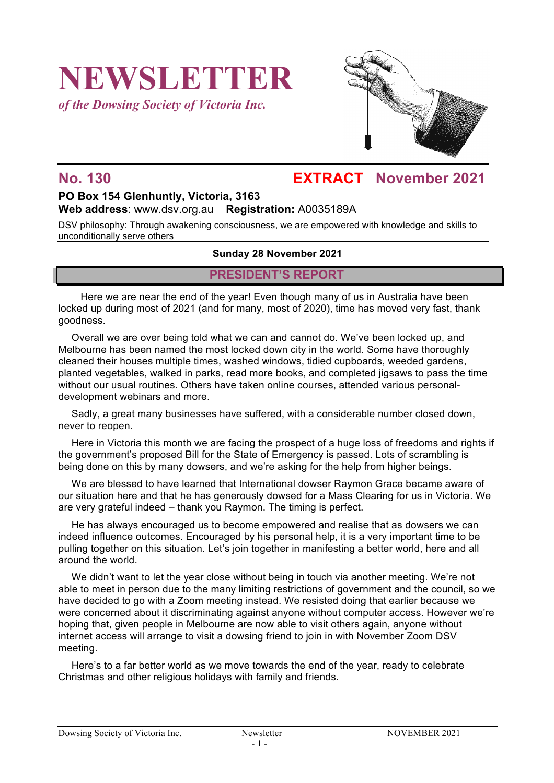# **NEWSLETTER**

*of the Dowsing Society of Victoria Inc.*



### **No. 130 EXTRACT November 2021**

#### **PO Box 154 Glenhuntly, Victoria, 3163 Web address**: www.dsv.org.au **Registration:** A0035189A

DSV philosophy: Through awakening consciousness, we are empowered with knowledge and skills to unconditionally serve others

#### **Sunday 28 November 2021**

#### **PRESIDENT'S REPORT**

Here we are near the end of the year! Even though many of us in Australia have been locked up during most of 2021 (and for many, most of 2020), time has moved very fast, thank goodness.

Overall we are over being told what we can and cannot do. We've been locked up, and Melbourne has been named the most locked down city in the world. Some have thoroughly cleaned their houses multiple times, washed windows, tidied cupboards, weeded gardens, planted vegetables, walked in parks, read more books, and completed jigsaws to pass the time without our usual routines. Others have taken online courses, attended various personaldevelopment webinars and more.

Sadly, a great many businesses have suffered, with a considerable number closed down, never to reopen.

Here in Victoria this month we are facing the prospect of a huge loss of freedoms and rights if the government's proposed Bill for the State of Emergency is passed. Lots of scrambling is being done on this by many dowsers, and we're asking for the help from higher beings.

We are blessed to have learned that International dowser Raymon Grace became aware of our situation here and that he has generously dowsed for a Mass Clearing for us in Victoria. We are very grateful indeed – thank you Raymon. The timing is perfect.

He has always encouraged us to become empowered and realise that as dowsers we can indeed influence outcomes. Encouraged by his personal help, it is a very important time to be pulling together on this situation. Let's join together in manifesting a better world, here and all around the world.

We didn't want to let the year close without being in touch via another meeting. We're not able to meet in person due to the many limiting restrictions of government and the council, so we have decided to go with a Zoom meeting instead. We resisted doing that earlier because we were concerned about it discriminating against anyone without computer access. However we're hoping that, given people in Melbourne are now able to visit others again, anyone without internet access will arrange to visit a dowsing friend to join in with November Zoom DSV meeting.

Here's to a far better world as we move towards the end of the year, ready to celebrate Christmas and other religious holidays with family and friends.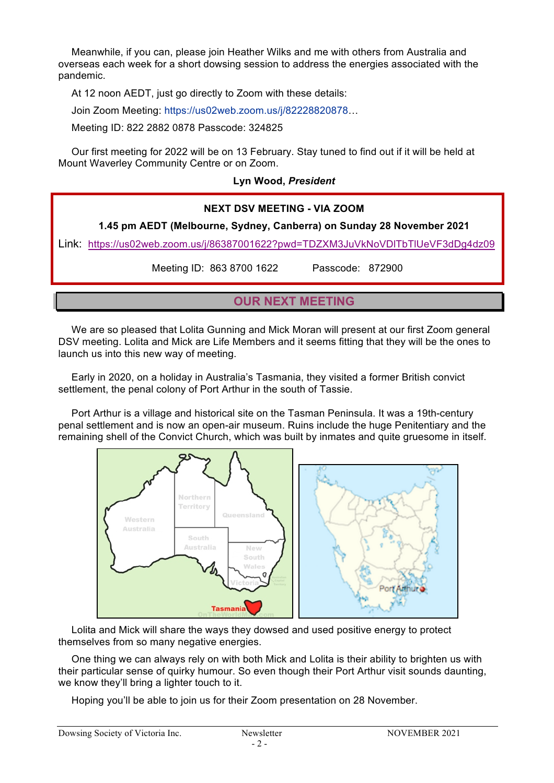Meanwhile, if you can, please join Heather Wilks and me with others from Australia and overseas each week for a short dowsing session to address the energies associated with the pandemic.

At 12 noon AEDT, just go directly to Zoom with these details:

Join Zoom Meeting: https://us02web.zoom.us/j/82228820878…

Meeting ID: 822 2882 0878 Passcode: 324825

Our first meeting for 2022 will be on 13 February. Stay tuned to find out if it will be held at Mount Waverley Community Centre or on Zoom.

#### **Lyn Wood,** *President*

## **NEXT DSV MEETING - VIA ZOOM 1.45 pm AEDT (Melbourne, Sydney, Canberra) on Sunday 28 November 2021** Link: https://us02web.zoom.us/j/86387001622?pwd=TDZXM3JuVkNoVDlTbTlUeVF3dDg4dz09 Meeting ID: 863 8700 1622 Passcode: 872900 **OUR NEXT MEETING**

We are so pleased that Lolita Gunning and Mick Moran will present at our first Zoom general DSV meeting. Lolita and Mick are Life Members and it seems fitting that they will be the ones to launch us into this new way of meeting.

Early in 2020, on a holiday in Australia's Tasmania, they visited a former British convict settlement, the penal colony of Port Arthur in the south of Tassie.

Port Arthur is a village and historical site on the Tasman Peninsula. It was a 19th-century penal settlement and is now an open-air museum. Ruins include the huge Penitentiary and the remaining shell of the Convict Church, which was built by inmates and quite gruesome in itself.



Lolita and Mick will share the ways they dowsed and used positive energy to protect themselves from so many negative energies.

One thing we can always rely on with both Mick and Lolita is their ability to brighten us with their particular sense of quirky humour. So even though their Port Arthur visit sounds daunting, we know they'll bring a lighter touch to it.

Hoping you'll be able to join us for their Zoom presentation on 28 November.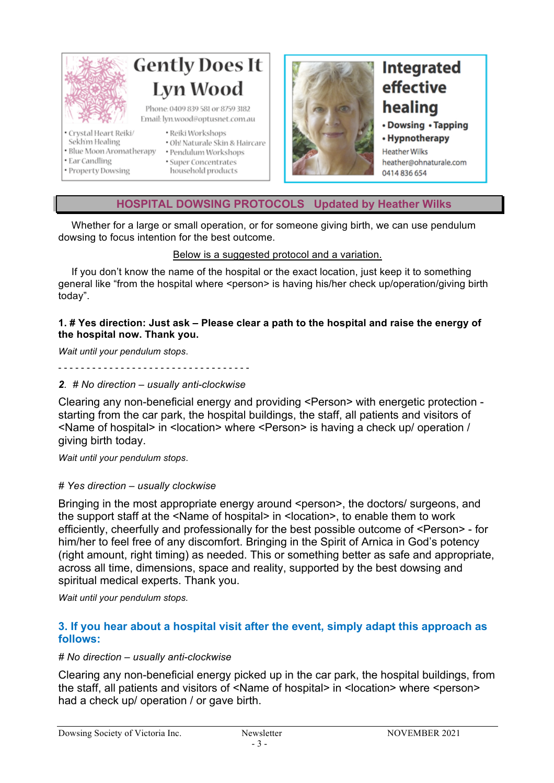

#### **HOSPITAL DOWSING PROTOCOLS Updated by Heather Wilks**

Whether for a large or small operation, or for someone giving birth, we can use pendulum dowsing to focus intention for the best outcome.

#### Below is a suggested protocol and a variation.

If you don't know the name of the hospital or the exact location, just keep it to something general like "from the hospital where <person> is having his/her check up/operation/giving birth today".

#### **1. # Yes direction: Just ask – Please clear a path to the hospital and raise the energy of the hospital now. Thank you.**

*Wait until your pendulum stops*.

- - - - - - - - - - - - - - - - - - - - - - - - - - - - - - - - - -

#### *2. # No direction – usually anti-clockwise*

Clearing any non-beneficial energy and providing <Person> with energetic protection starting from the car park, the hospital buildings, the staff, all patients and visitors of <Name of hospital> in <location> where <Person> is having a check up/ operation / giving birth today.

*Wait until your pendulum stops*.

#### *# Yes direction – usually clockwise*

Bringing in the most appropriate energy around <person>, the doctors/ surgeons, and the support staff at the <Name of hospital> in <location>, to enable them to work efficiently, cheerfully and professionally for the best possible outcome of <Person> - for him/her to feel free of any discomfort. Bringing in the Spirit of Arnica in God's potency (right amount, right timing) as needed. This or something better as safe and appropriate, across all time, dimensions, space and reality, supported by the best dowsing and spiritual medical experts. Thank you.

*Wait until your pendulum stops.*

#### **3. If you hear about a hospital visit after the event, simply adapt this approach as follows:**

#### *# No direction – usually anti-clockwise*

Clearing any non-beneficial energy picked up in the car park, the hospital buildings, from the staff, all patients and visitors of <Name of hospital> in <location> where <person> had a check up/ operation / or gave birth.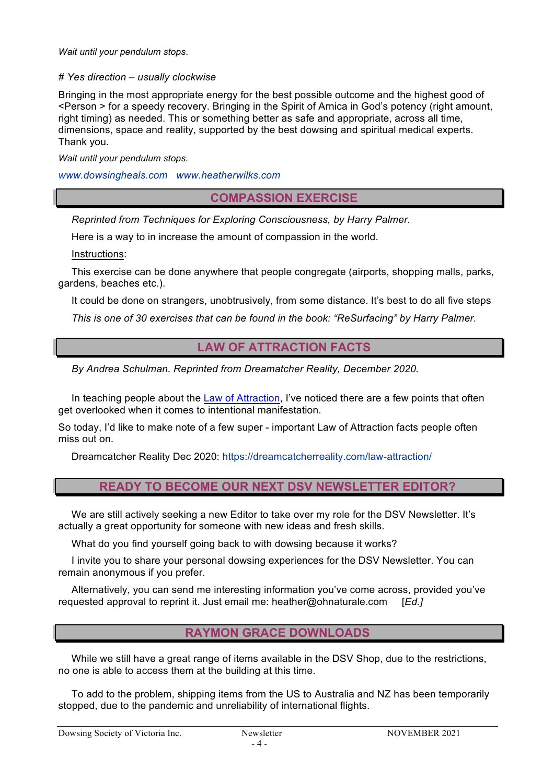*Wait until your pendulum stops*.

#### *# Yes direction – usually clockwise*

Bringing in the most appropriate energy for the best possible outcome and the highest good of <Person > for a speedy recovery. Bringing in the Spirit of Arnica in God's potency (right amount, right timing) as needed. This or something better as safe and appropriate, across all time, dimensions, space and reality, supported by the best dowsing and spiritual medical experts. Thank you.

*Wait until your pendulum stops.*

*www.dowsingheals.com www.heatherwilks.com*

**COMPASSION EXERCISE**

*Reprinted from Techniques for Exploring Consciousness, by Harry Palmer.*

Here is a way to in increase the amount of compassion in the world.

Instructions:

This exercise can be done anywhere that people congregate (airports, shopping malls, parks, gardens, beaches etc.).

It could be done on strangers, unobtrusively, from some distance. It's best to do all five steps

*This is one of 30 exercises that can be found in the book: "ReSurfacing" by Harry Palmer.*

#### **LAW OF ATTRACTION FACTS**

*By Andrea Schulman. Reprinted from Dreamatcher Reality, December 2020.* 

In teaching people about the Law of Attraction, I've noticed there are a few points that often get overlooked when it comes to intentional manifestation.

So today, I'd like to make note of a few super - important Law of Attraction facts people often miss out on.

Dreamcatcher Reality Dec 2020: https://dreamcatcherreality.com/law-attraction/

#### **READY TO BECOME OUR NEXT DSV NEWSLETTER EDITOR?**

We are still actively seeking a new Editor to take over my role for the DSV Newsletter. It's actually a great opportunity for someone with new ideas and fresh skills.

What do you find yourself going back to with dowsing because it works?

I invite you to share your personal dowsing experiences for the DSV Newsletter. You can remain anonymous if you prefer.

Alternatively, you can send me interesting information you've come across, provided you've requested approval to reprint it. Just email me: heather@ohnaturale.com [*Ed.]*

#### **RAYMON GRACE DOWNLOADS**

While we still have a great range of items available in the DSV Shop, due to the restrictions, no one is able to access them at the building at this time.

To add to the problem, shipping items from the US to Australia and NZ has been temporarily stopped, due to the pandemic and unreliability of international flights.